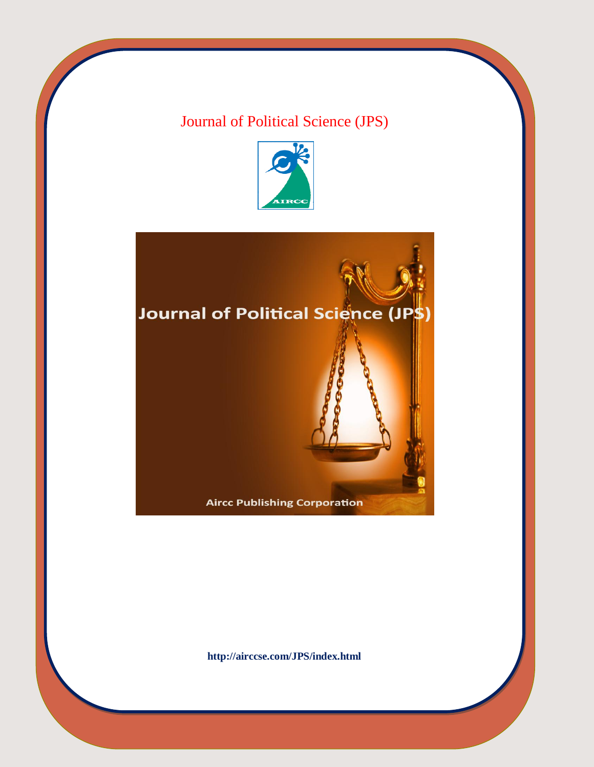## Journal of Political Science (JPS)



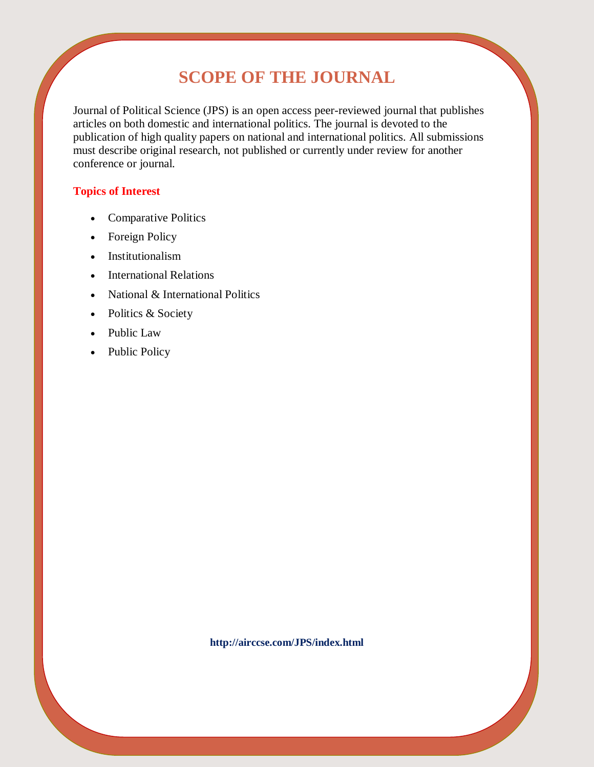# **SCOPE OF THE JOURNAL**

Journal of Political Science (JPS) is an open access peer-reviewed journal that publishes articles on both domestic and international politics. The journal is devoted to the publication of high quality papers on national and international politics. All submissions must describe original research, not published or currently under review for another conference or journal.

## **Topics of Interest**

- Comparative Politics
- Foreign Policy
- Institutionalism
- International Relations
- National & International Politics
- Politics & Society
- Public Law
- Public Policy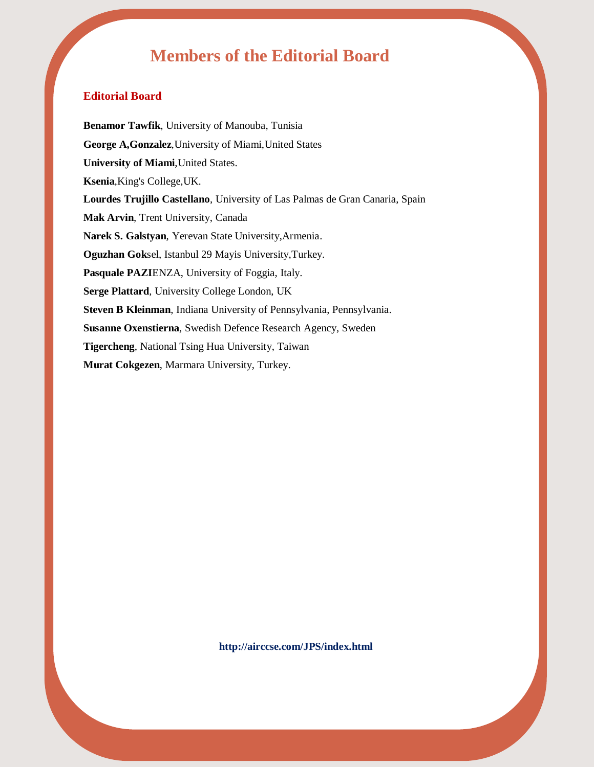## **Members of the Editorial Board**

## **Editorial Board**

**Benamor Tawfik**, University of Manouba, Tunisia **George A,Gonzalez**,University of Miami,United States **University of Miami**,United States. **Ksenia**,King's College,UK. **Lourdes Trujillo Castellano**, University of Las Palmas de Gran Canaria, Spain **Mak Arvin**, Trent University, Canada **Narek S. Galstyan**, Yerevan State University,Armenia. **Oguzhan Gok**sel, Istanbul 29 Mayis University,Turkey. **Pasquale PAZI**ENZA, University of Foggia, Italy. **Serge Plattard**, University College London, UK **Steven B Kleinman**, Indiana University of Pennsylvania, Pennsylvania. **Susanne Oxenstierna**, Swedish Defence Research Agency, Sweden **Tigercheng**, National Tsing Hua University, Taiwan **Murat Cokgezen**, Marmara University, Turkey.